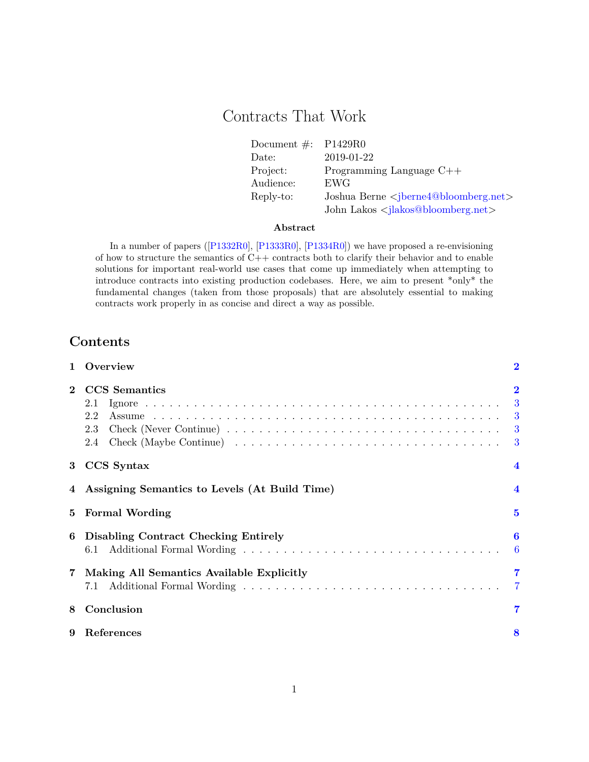# Contracts That Work

| Document $\#$ : P1429R0 |                                                              |
|-------------------------|--------------------------------------------------------------|
| Date:                   | 2019-01-22                                                   |
| Project:                | Programming Language $C++$                                   |
| Audience:               | EWG                                                          |
| Reply-to:               | Joshua Berne <jberne4@bloomberg.net></jberne4@bloomberg.net> |
|                         | John Lakos $\langle$ jlakos@bloomberg.net $\rangle$          |

#### **Abstract**

In a number of papers ([\[P1332R0\]](#page-7-0), [\[P1333R0\]](#page-7-1), [\[P1334R0\]](#page-7-2)) we have proposed a re-envisioning of how to structure the semantics of C++ contracts both to clarify their behavior and to enable solutions for important real-world use cases that come up immediately when attempting to introduce contracts into existing production codebases. Here, we aim to present \*only\* the fundamental changes (taken from those proposals) that are absolutely essential to making contracts work properly in as concise and direct a way as possible.

# **Contents**

| Overview     |                                                    | $\bf{2}$                     |
|--------------|----------------------------------------------------|------------------------------|
| $\mathbf{2}$ | <b>CCS</b> Semantics<br>2.1<br>2.2<br>2.3<br>2.4   | $\bf{2}$<br>3<br>3<br>3<br>3 |
| 3            | CCS Syntax                                         | $\overline{\mathbf{4}}$      |
|              | Assigning Semantics to Levels (At Build Time)      |                              |
| 5            | <b>Formal Wording</b>                              |                              |
| 6            | <b>Disabling Contract Checking Entirely</b><br>6.1 | 6<br>6                       |
| 7            | Making All Semantics Available Explicitly<br>7.1   | 7                            |
| 8            | Conclusion                                         |                              |
| 9            | References                                         |                              |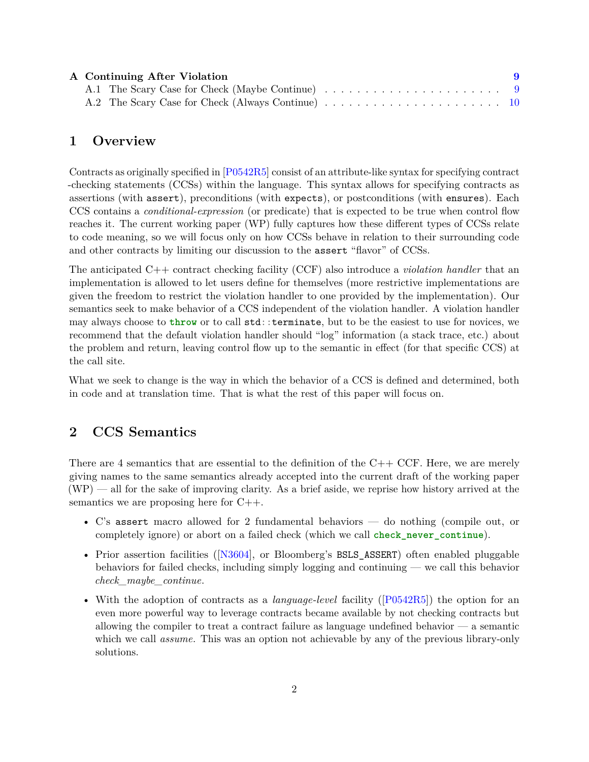| A Continuing After Violation |  |  |
|------------------------------|--|--|
|                              |  |  |
|                              |  |  |

### <span id="page-1-0"></span>**1 Overview**

Contracts as originally specified in [\[P0542R5\]](#page-7-4) consist of an attribute-like syntax for specifying contract -checking statements (CCSs) within the language. This syntax allows for specifying contracts as assertions (with assert), preconditions (with expects), or postconditions (with ensures). Each CCS contains a *conditional-expression* (or predicate) that is expected to be true when control flow reaches it. The current working paper (WP) fully captures how these different types of CCSs relate to code meaning, so we will focus only on how CCSs behave in relation to their surrounding code and other contracts by limiting our discussion to the assert "flavor" of CCSs.

The anticipated C++ contract checking facility (CCF) also introduce a *violation handler* that an implementation is allowed to let users define for themselves (more restrictive implementations are given the freedom to restrict the violation handler to one provided by the implementation). Our semantics seek to make behavior of a CCS independent of the violation handler. A violation handler may always choose to **throw** or to call std::terminate, but to be the easiest to use for novices, we recommend that the default violation handler should "log" information (a stack trace, etc.) about the problem and return, leaving control flow up to the semantic in effect (for that specific CCS) at the call site.

What we seek to change is the way in which the behavior of a CCS is defined and determined, both in code and at translation time. That is what the rest of this paper will focus on.

## <span id="page-1-1"></span>**2 CCS Semantics**

There are 4 semantics that are essential to the definition of the C++ CCF. Here, we are merely giving names to the same semantics already accepted into the current draft of the working paper (WP) — all for the sake of improving clarity. As a brief aside, we reprise how history arrived at the semantics we are proposing here for C++.

- C's assert macro allowed for 2 fundamental behaviors do nothing (compile out, or completely ignore) or abort on a failed check (which we call **check\_never\_continue**).
- Prior assertion facilities ([\[N3604\]](#page-7-5), or Bloomberg's BSLS\_ASSERT) often enabled pluggable behaviors for failed checks, including simply logging and continuing — we call this behavior *check\_maybe\_continue*.
- With the adoption of contracts as a *language-level* facility ([\[P0542R5\]](#page-7-4)) the option for an even more powerful way to leverage contracts became available by not checking contracts but allowing the compiler to treat a contract failure as language undefined behavior  $\overline{\phantom{a}}$  a semantic which we call *assume*. This was an option not achievable by any of the previous library-only solutions.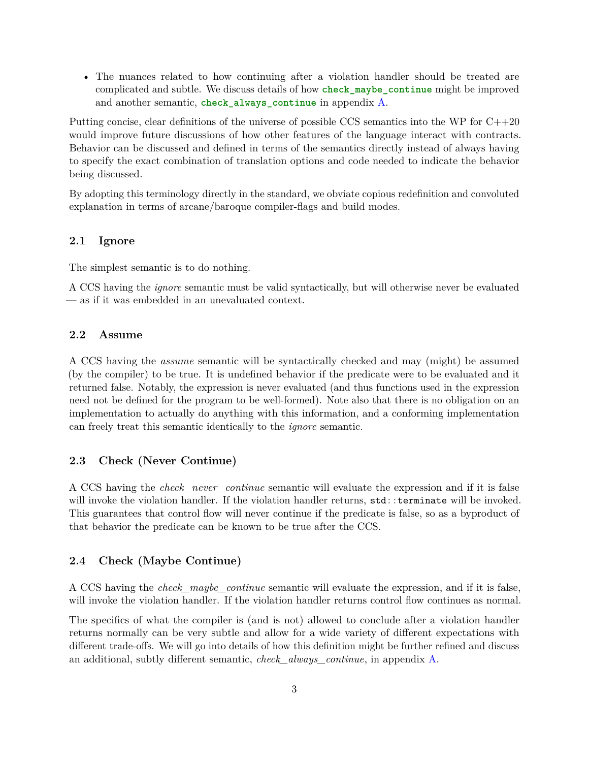• The nuances related to how continuing after a violation handler should be treated are complicated and subtle. We discuss details of how **check\_maybe\_continue** might be improved and another semantic, **check\_always\_continue** in appendix [A.](#page-8-0)

Putting concise, clear definitions of the universe of possible CCS semantics into the WP for  $C++20$ would improve future discussions of how other features of the language interact with contracts. Behavior can be discussed and defined in terms of the semantics directly instead of always having to specify the exact combination of translation options and code needed to indicate the behavior being discussed.

By adopting this terminology directly in the standard, we obviate copious redefinition and convoluted explanation in terms of arcane/baroque compiler-flags and build modes.

#### <span id="page-2-0"></span>**2.1 Ignore**

The simplest semantic is to do nothing.

A CCS having the *ignore* semantic must be valid syntactically, but will otherwise never be evaluated — as if it was embedded in an unevaluated context.

#### <span id="page-2-1"></span>**2.2 Assume**

A CCS having the *assume* semantic will be syntactically checked and may (might) be assumed (by the compiler) to be true. It is undefined behavior if the predicate were to be evaluated and it returned false. Notably, the expression is never evaluated (and thus functions used in the expression need not be defined for the program to be well-formed). Note also that there is no obligation on an implementation to actually do anything with this information, and a conforming implementation can freely treat this semantic identically to the *ignore* semantic.

#### <span id="page-2-2"></span>**2.3 Check (Never Continue)**

A CCS having the *check\_never\_continue* semantic will evaluate the expression and if it is false will invoke the violation handler. If the violation handler returns,  $\texttt{std}$ : terminate will be invoked. This guarantees that control flow will never continue if the predicate is false, so as a byproduct of that behavior the predicate can be known to be true after the CCS.

#### <span id="page-2-3"></span>**2.4 Check (Maybe Continue)**

A CCS having the *check\_maybe\_continue* semantic will evaluate the expression, and if it is false, will invoke the violation handler. If the violation handler returns control flow continues as normal.

The specifics of what the compiler is (and is not) allowed to conclude after a violation handler returns normally can be very subtle and allow for a wide variety of different expectations with different trade-offs. We will go into details of how this definition might be further refined and discuss an additional, subtly different semantic, *check\_always\_continue*, in appendix [A.](#page-8-0)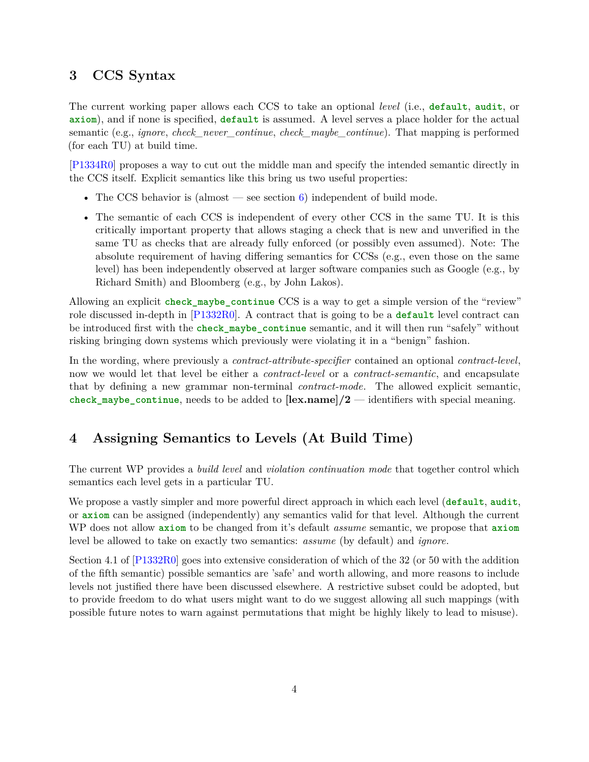# <span id="page-3-0"></span>**3 CCS Syntax**

The current working paper allows each CCS to take an optional *level* (i.e., **default**, **audit**, or **axiom**), and if none is specified, **default** is assumed. A level serves a place holder for the actual semantic (e.g., *ignore*, *check\_never\_continue*, *check\_maybe\_continue*). That mapping is performed (for each TU) at build time.

[\[P1334R0\]](#page-7-2) proposes a way to cut out the middle man and specify the intended semantic directly in the CCS itself. Explicit semantics like this bring us two useful properties:

- The CCS behavior is (almost see section  $6$ ) independent of build mode.
- The semantic of each CCS is independent of every other CCS in the same TU. It is this critically important property that allows staging a check that is new and unverified in the same TU as checks that are already fully enforced (or possibly even assumed). Note: The absolute requirement of having differing semantics for CCSs (e.g., even those on the same level) has been independently observed at larger software companies such as Google (e.g., by Richard Smith) and Bloomberg (e.g., by John Lakos).

Allowing an explicit **check\_maybe\_continue** CCS is a way to get a simple version of the "review" role discussed in-depth in [\[P1332R0\]](#page-7-0). A contract that is going to be a **default** level contract can be introduced first with the **check\_maybe\_continue** semantic, and it will then run "safely" without risking bringing down systems which previously were violating it in a "benign" fashion.

In the wording, where previously a *contract-attribute-specifier* contained an optional *contract-level*, now we would let that level be either a *contract-level* or a *contract-semantic*, and encapsulate that by defining a new grammar non-terminal *contract-mode*. The allowed explicit semantic, **check\_maybe\_continue**, needs to be added to **[lex.name]/2** — identifiers with special meaning.

## <span id="page-3-1"></span>**4 Assigning Semantics to Levels (At Build Time)**

The current WP provides a *build level* and *violation continuation mode* that together control which semantics each level gets in a particular TU.

We propose a vastly simpler and more powerful direct approach in which each level (**default**, **audit**, or **axiom** can be assigned (independently) any semantics valid for that level. Although the current WP does not allow **axiom** to be changed from it's default *assume* semantic, we propose that **axiom** level be allowed to take on exactly two semantics: *assume* (by default) and *ignore*.

Section 4.1 of  $[P1332R0]$  goes into extensive consideration of which of the 32 (or 50 with the addition of the fifth semantic) possible semantics are 'safe' and worth allowing, and more reasons to include levels not justified there have been discussed elsewhere. A restrictive subset could be adopted, but to provide freedom to do what users might want to do we suggest allowing all such mappings (with possible future notes to warn against permutations that might be highly likely to lead to misuse).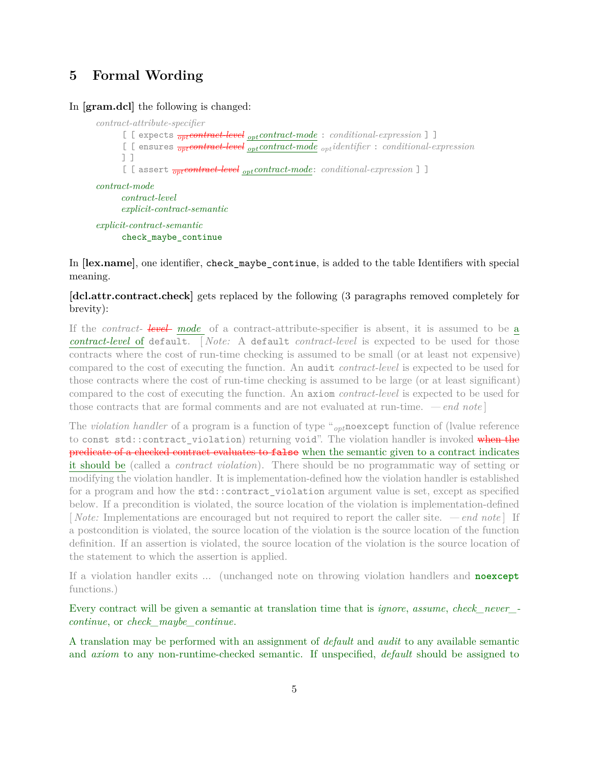# <span id="page-4-0"></span>**5 Formal Wording**

In **[gram.dcl]** the following is changed:

```
contract-attribute-specifier
      [ [ expects optcontract-level optcontract-mode : conditional-expression ] ]
      [ [ ensures optcontract-level optcontract-mode optidentifier : conditional-expression
      ] ]
      [ [ assert optcontract-level optcontract-mode: conditional-expression ] ]
contract-mode
      contract-level
      explicit-contract-semantic
```
*explicit-contract-semantic* check\_maybe\_continue

In **[lex.name]**, one identifier, check\_maybe\_continue, is added to the table Identifiers with special meaning.

**[dcl.attr.contract.check]** gets replaced by the following (3 paragraphs removed completely for brevity):

If the *contract- level mode* of a contract-attribute-specifier is absent, it is assumed to be a *contract-level* of default. [ *Note:* A default *contract-level* is expected to be used for those contracts where the cost of run-time checking is assumed to be small (or at least not expensive) compared to the cost of executing the function. An audit *contract-level* is expected to be used for those contracts where the cost of run-time checking is assumed to be large (or at least significant) compared to the cost of executing the function. An axiom *contract-level* is expected to be used for those contracts that are formal comments and are not evaluated at run-time. *— end note* ]

The *violation handler* of a program is a function of type "*opt*noexcept function of (lvalue reference to const std::contract violation) returning void". The violation handler is invoked when the predicate of a checked contract evaluates to false when the semantic given to a contract indicates it should be (called a *contract violation*). There should be no programmatic way of setting or modifying the violation handler. It is implementation-defined how the violation handler is established for a program and how the std::contract\_violation argument value is set, except as specified below. If a precondition is violated, the source location of the violation is implementation-defined [*Note:* Implementations are encouraged but not required to report the caller site. *— end note* ] If a postcondition is violated, the source location of the violation is the source location of the function definition. If an assertion is violated, the source location of the violation is the source location of the statement to which the assertion is applied.

If a violation handler exits ... (unchanged note on throwing violation handlers and **noexcept** functions.)

Every contract will be given a semantic at translation time that is *ignore*, *assume*, *check\_never\_ continue*, or *check\_maybe\_continue*.

A translation may be performed with an assignment of *default* and *audit* to any available semantic and *axiom* to any non-runtime-checked semantic. If unspecified, *default* should be assigned to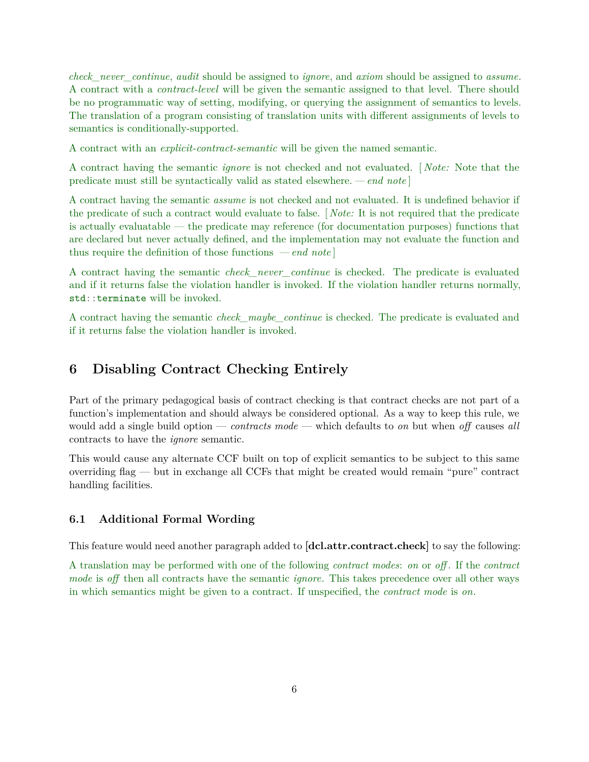*check\_never\_continue*, *audit* should be assigned to *ignore*, and *axiom* should be assigned to *assume*. A contract with a *contract-level* will be given the semantic assigned to that level. There should be no programmatic way of setting, modifying, or querying the assignment of semantics to levels. The translation of a program consisting of translation units with different assignments of levels to semantics is conditionally-supported.

A contract with an *explicit-contract-semantic* will be given the named semantic.

A contract having the semantic *ignore* is not checked and not evaluated. [ *Note:* Note that the predicate must still be syntactically valid as stated elsewhere. *— end note* ]

A contract having the semantic *assume* is not checked and not evaluated. It is undefined behavior if the predicate of such a contract would evaluate to false. [ *Note:* It is not required that the predicate is actually evaluatable — the predicate may reference (for documentation purposes) functions that are declared but never actually defined, and the implementation may not evaluate the function and thus require the definition of those functions *— end note* ]

A contract having the semantic *check\_never\_continue* is checked. The predicate is evaluated and if it returns false the violation handler is invoked. If the violation handler returns normally, std::terminate will be invoked.

A contract having the semantic *check\_maybe\_continue* is checked. The predicate is evaluated and if it returns false the violation handler is invoked.

### <span id="page-5-0"></span>**6 Disabling Contract Checking Entirely**

Part of the primary pedagogical basis of contract checking is that contract checks are not part of a function's implementation and should always be considered optional. As a way to keep this rule, we would add a single build option — *contracts mode* — which defaults to *on* but when *off* causes *all* contracts to have the *ignore* semantic.

This would cause any alternate CCF built on top of explicit semantics to be subject to this same overriding flag — but in exchange all CCFs that might be created would remain "pure" contract handling facilities.

#### <span id="page-5-1"></span>**6.1 Additional Formal Wording**

This feature would need another paragraph added to **[dcl.attr.contract.check]** to say the following:

A translation may be performed with one of the following *contract modes*: *on* or *off* . If the *contract mode* is *off* then all contracts have the semantic *ignore*. This takes precedence over all other ways in which semantics might be given to a contract. If unspecified, the *contract mode* is *on*.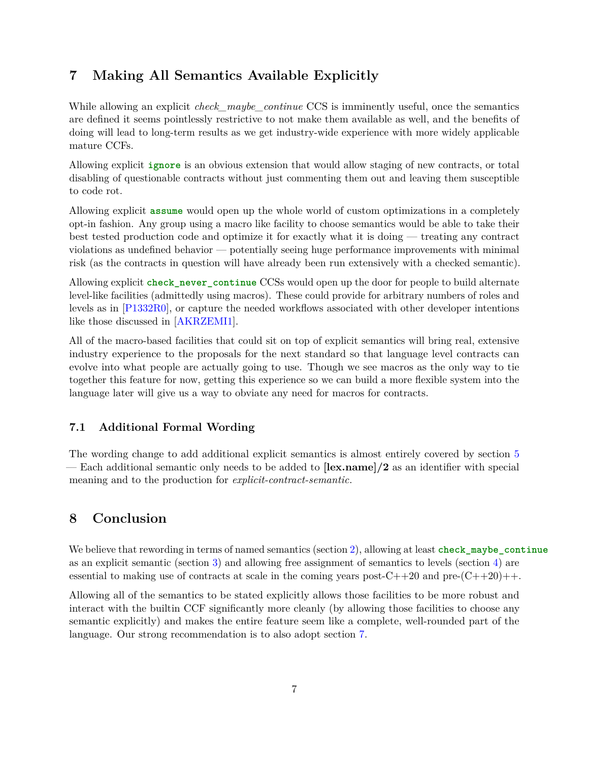### <span id="page-6-0"></span>**7 Making All Semantics Available Explicitly**

While allowing an explicit *check\_maybe\_continue* CCS is imminently useful, once the semantics are defined it seems pointlessly restrictive to not make them available as well, and the benefits of doing will lead to long-term results as we get industry-wide experience with more widely applicable mature CCFs.

Allowing explicit **ignore** is an obvious extension that would allow staging of new contracts, or total disabling of questionable contracts without just commenting them out and leaving them susceptible to code rot.

Allowing explicit **assume** would open up the whole world of custom optimizations in a completely opt-in fashion. Any group using a macro like facility to choose semantics would be able to take their best tested production code and optimize it for exactly what it is doing — treating any contract violations as undefined behavior — potentially seeing huge performance improvements with minimal risk (as the contracts in question will have already been run extensively with a checked semantic).

Allowing explicit **check\_never\_continue** CCSs would open up the door for people to build alternate level-like facilities (admittedly using macros). These could provide for arbitrary numbers of roles and levels as in [\[P1332R0\]](#page-7-0), or capture the needed workflows associated with other developer intentions like those discussed in [\[AKRZEMI1\]](#page-7-6).

All of the macro-based facilities that could sit on top of explicit semantics will bring real, extensive industry experience to the proposals for the next standard so that language level contracts can evolve into what people are actually going to use. Though we see macros as the only way to tie together this feature for now, getting this experience so we can build a more flexible system into the language later will give us a way to obviate any need for macros for contracts.

#### <span id="page-6-1"></span>**7.1 Additional Formal Wording**

The wording change to add additional explicit semantics is almost entirely covered by section [5](#page-4-0) — Each additional semantic only needs to be added to **[lex.name]/2** as an identifier with special meaning and to the production for *explicit-contract-semantic*.

### <span id="page-6-2"></span>**8 Conclusion**

We believe that rewording in terms of named semantics (section [2\)](#page-1-1), allowing at least **check\_maybe\_continue** as an explicit semantic (section [3\)](#page-3-0) and allowing free assignment of semantics to levels (section [4\)](#page-3-1) are essential to making use of contracts at scale in the coming years post- $C++20$  and pre- $(C++20)++$ .

Allowing all of the semantics to be stated explicitly allows those facilities to be more robust and interact with the builtin CCF significantly more cleanly (by allowing those facilities to choose any semantic explicitly) and makes the entire feature seem like a complete, well-rounded part of the language. Our strong recommendation is to also adopt section [7.](#page-6-0)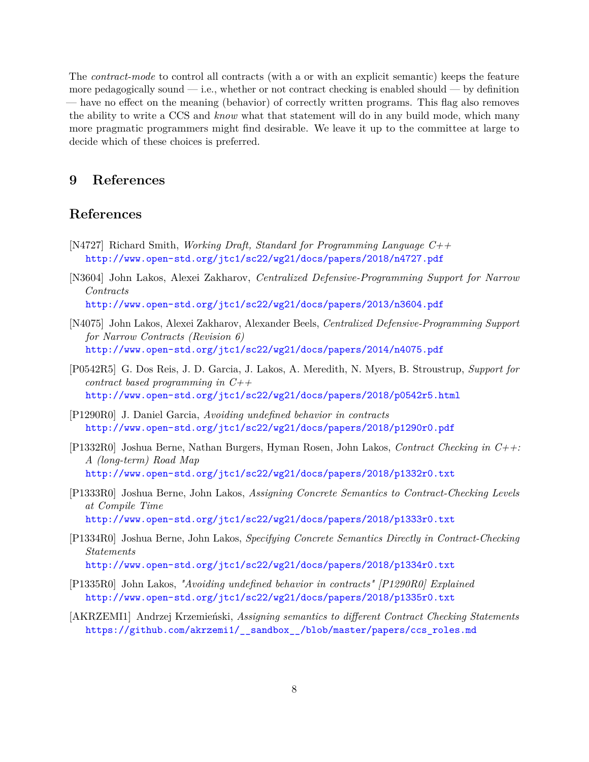The *contract-mode* to control all contracts (with a or with an explicit semantic) keeps the feature more pedagogically sound  $-$  i.e., whether or not contract checking is enabled should  $-$  by definition — have no effect on the meaning (behavior) of correctly written programs. This flag also removes the ability to write a CCS and *know* what that statement will do in any build mode, which many more pragmatic programmers might find desirable. We leave it up to the committee at large to decide which of these choices is preferred.

### <span id="page-7-3"></span>**9 References**

## **References**

- [N4727] Richard Smith, *Working Draft, Standard for Programming Language C++* <http://www.open-std.org/jtc1/sc22/wg21/docs/papers/2018/n4727.pdf>
- <span id="page-7-5"></span>[N3604] John Lakos, Alexei Zakharov, *Centralized Defensive-Programming Support for Narrow Contracts* <http://www.open-std.org/jtc1/sc22/wg21/docs/papers/2013/n3604.pdf>
- [N4075] John Lakos, Alexei Zakharov, Alexander Beels, *Centralized Defensive-Programming Support for Narrow Contracts (Revision 6)* <http://www.open-std.org/jtc1/sc22/wg21/docs/papers/2014/n4075.pdf>
- <span id="page-7-4"></span>[P0542R5] G. Dos Reis, J. D. Garcia, J. Lakos, A. Meredith, N. Myers, B. Stroustrup, *Support for contract based programming in C++* <http://www.open-std.org/jtc1/sc22/wg21/docs/papers/2018/p0542r5.html>
- [P1290R0] J. Daniel Garcia, *Avoiding undefined behavior in contracts* <http://www.open-std.org/jtc1/sc22/wg21/docs/papers/2018/p1290r0.pdf>
- <span id="page-7-0"></span>[P1332R0] Joshua Berne, Nathan Burgers, Hyman Rosen, John Lakos, *Contract Checking in C++: A (long-term) Road Map* <http://www.open-std.org/jtc1/sc22/wg21/docs/papers/2018/p1332r0.txt>
- <span id="page-7-1"></span>[P1333R0] Joshua Berne, John Lakos, *Assigning Concrete Semantics to Contract-Checking Levels at Compile Time* <http://www.open-std.org/jtc1/sc22/wg21/docs/papers/2018/p1333r0.txt>
- <span id="page-7-2"></span>[P1334R0] Joshua Berne, John Lakos, *Specifying Concrete Semantics Directly in Contract-Checking Statements* <http://www.open-std.org/jtc1/sc22/wg21/docs/papers/2018/p1334r0.txt>
- [P1335R0] John Lakos, *"Avoiding undefined behavior in contracts" [P1290R0] Explained* <http://www.open-std.org/jtc1/sc22/wg21/docs/papers/2018/p1335r0.txt>
- <span id="page-7-6"></span>[AKRZEMI1] Andrzej Krzemieński, *Assigning semantics to different Contract Checking Statements* [https://github.com/akrzemi1/\\_\\_sandbox\\_\\_/blob/master/papers/ccs\\_roles.md](https://github.com/akrzemi1/__sandbox__/blob/master/papers/ccs_roles.md)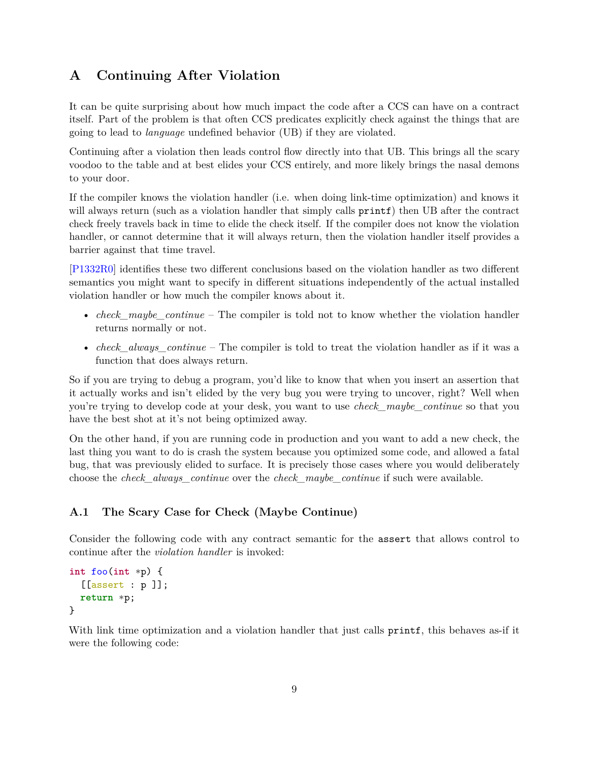## <span id="page-8-0"></span>**A Continuing After Violation**

It can be quite surprising about how much impact the code after a CCS can have on a contract itself. Part of the problem is that often CCS predicates explicitly check against the things that are going to lead to *language* undefined behavior (UB) if they are violated.

Continuing after a violation then leads control flow directly into that UB. This brings all the scary voodoo to the table and at best elides your CCS entirely, and more likely brings the nasal demons to your door.

If the compiler knows the violation handler (i.e. when doing link-time optimization) and knows it will always return (such as a violation handler that simply calls  $\text{print}$ ) then UB after the contract check freely travels back in time to elide the check itself. If the compiler does not know the violation handler, or cannot determine that it will always return, then the violation handler itself provides a barrier against that time travel.

[\[P1332R0\]](#page-7-0) identifies these two different conclusions based on the violation handler as two different semantics you might want to specify in different situations independently of the actual installed violation handler or how much the compiler knows about it.

- *check\_maybe\_continue* The compiler is told not to know whether the violation handler returns normally or not.
- *check* always continue The compiler is told to treat the violation handler as if it was a function that does always return.

So if you are trying to debug a program, you'd like to know that when you insert an assertion that it actually works and isn't elided by the very bug you were trying to uncover, right? Well when you're trying to develop code at your desk, you want to use *check\_maybe\_continue* so that you have the best shot at it's not being optimized away.

On the other hand, if you are running code in production and you want to add a new check, the last thing you want to do is crash the system because you optimized some code, and allowed a fatal bug, that was previously elided to surface. It is precisely those cases where you would deliberately choose the *check\_always\_continue* over the *check\_maybe\_continue* if such were available.

#### <span id="page-8-1"></span>**A.1 The Scary Case for Check (Maybe Continue)**

Consider the following code with any contract semantic for the assert that allows control to continue after the *violation handler* is invoked:

```
int foo(int *p) {
  [[assert : p ]];
  return *p;
}
```
With link time optimization and a violation handler that just calls printf, this behaves as-if it were the following code: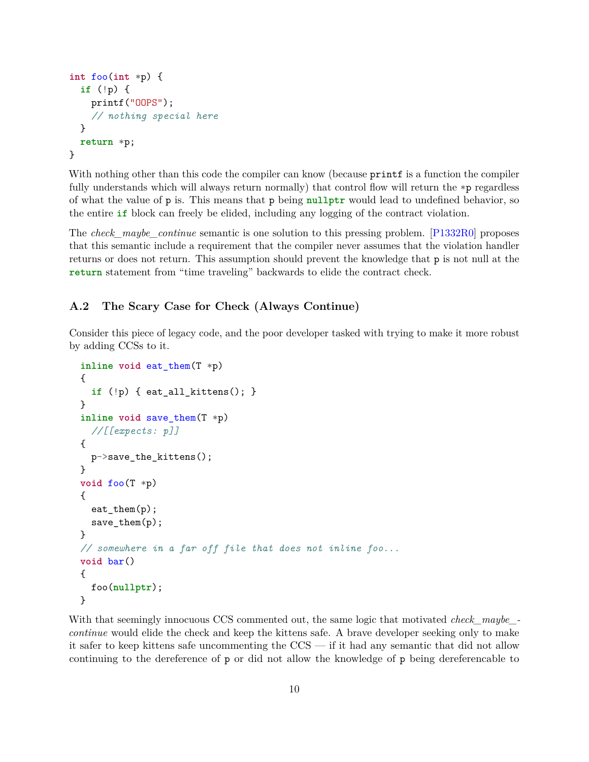```
int foo(int *p) {
  if (!p) {
    printf("OOPS");
    // nothing special here
  }
  return *p;
}
```
With nothing other than this code the compiler can know (because printf is a function the compiler fully understands which will always return normally) that control flow will return the \*p regardless of what the value of p is. This means that p being **nullptr** would lead to undefined behavior, so the entire **if** block can freely be elided, including any logging of the contract violation.

The *check\_maybe\_continue* semantic is one solution to this pressing problem. [\[P1332R0\]](#page-7-0) proposes that this semantic include a requirement that the compiler never assumes that the violation handler returns or does not return. This assumption should prevent the knowledge that p is not null at the **return** statement from "time traveling" backwards to elide the contract check.

#### <span id="page-9-0"></span>**A.2 The Scary Case for Check (Always Continue)**

Consider this piece of legacy code, and the poor developer tasked with trying to make it more robust by adding CCSs to it.

```
inline void eat_them(T *p)
{
  if (!p) { eat_all_kittens(); }
}
inline void save_them(T *p)
  //[[expects: p]]
{
 p->save_the_kittens();
}
void foo(T *p)
{
 eat then(p);
  save_them(p);
}
// somewhere in a far off file that does not inline foo...
void bar()
{
 foo(nullptr);
}
```
With that seemingly innocuous CCS commented out, the same logic that motivated *check maybecontinue* would elide the check and keep the kittens safe. A brave developer seeking only to make it safer to keep kittens safe uncommenting the CCS — if it had any semantic that did not allow continuing to the dereference of p or did not allow the knowledge of p being dereferencable to